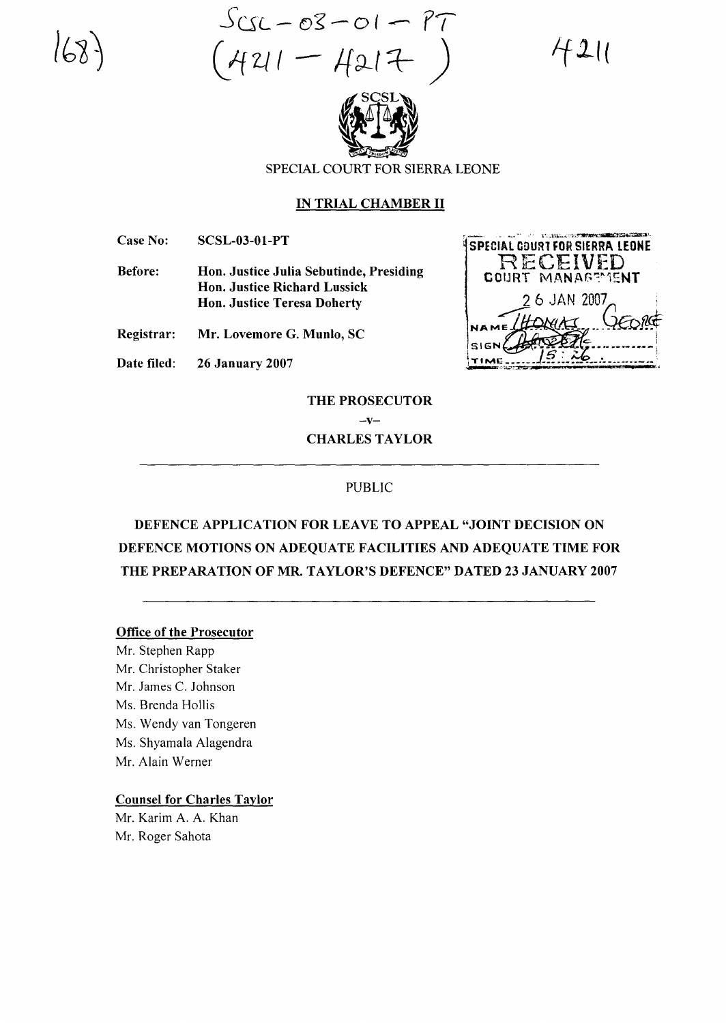$S_{CSL-O3-O1}-P7$  $421 - 4217$ 

4211



SPECIAL COURT FOR SIERRA LEONE

#### IN TRIAL CHAMBER II

Case No: SCSL-03-01-PT

Before: Hon. Justice Julia Sebutinde, Presiding Hon. Justice Richard Lussick Hon. Justice Teresa Doherty

Registrar: Mr. Lovemore G. Munlo, SC

Date filed: 26 January 2007

'' low later to the state of the state of the state of the state of the state of the state of the state of the SPECIAL COURT FOR SIERRA LEONE RECEIVED COURT MANAGEMENT 2 6 JAN 2007 NAME (HONG)<br>SIGN PATERS<br>TIME 15 26

THE PROSECUTOR

 $-v-$ CHARLES TAYLOR

#### PUBLIC

# DEFENCE APPLICATION FOR LEAVE TO APPEAL "JOINT DECISION ON DEFENCE MOTIONS ON ADEQUATE FACILITIES AND ADEQUATE TIME FOR THE PREPARATION OF MR. TAYLOR'S DEFENCE" DATED 23 JANUARY 2007

#### Office of the Prosecutor

Mr. Stephen Rapp Mr. Christopher Staker Mr. James C. Johnson Ms. Brenda Hollis Ms. Wendy van Tongeren Ms. Shyamala Alagendra Mr. Alain Werner

# Counsel for Charles Taylor

Mr. Karim A. A. Khan Mr. Roger Sahota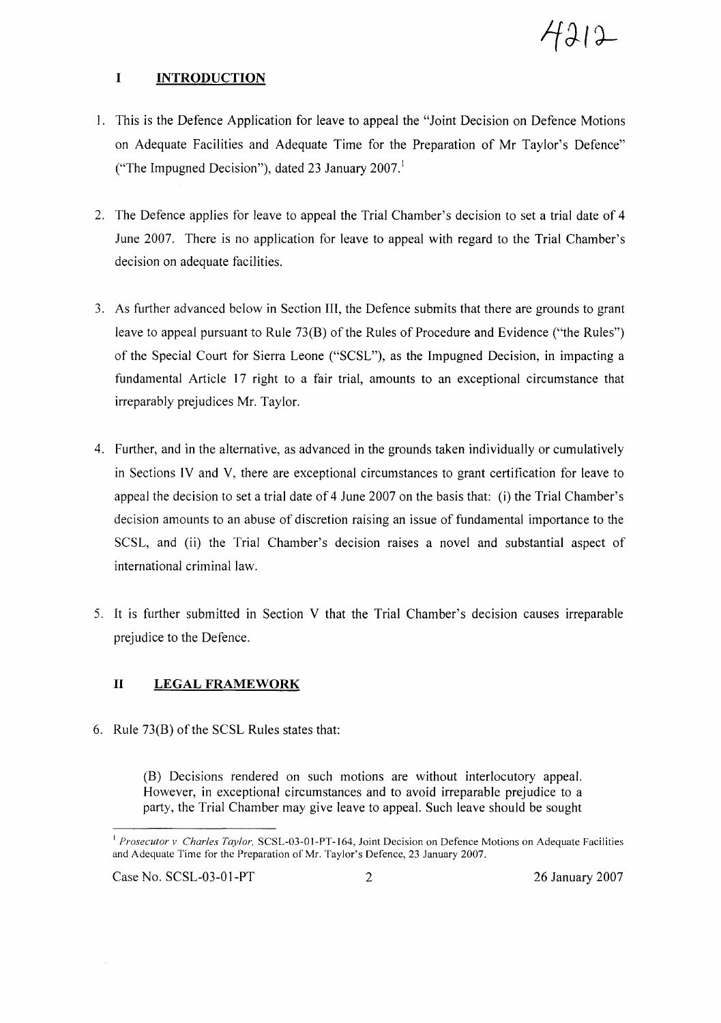

# **I INTRODUCTION**

- 1. This is the Defence Application for leave to appeal the "Joint Decision on Defence Motions on Adequate Facilities and Adequate Time for the Preparation of Mr Taylor's Defence" ("The Impugned Decision"), dated 23 January  $2007<sup>1</sup>$
- 2. The Defence applies for leave to appeal the Trial Chamber's decision to set a trial date of 4 June 2007. There is no application for leave to appeal with regard to the Trial Chamber's decision on adequate facilities.
- 3. As further advanced below in Section III, the Defence submits that there are grounds to grant leave to appeal pursuant to Rule 73(B) of the Rules of Procedure and Evidence ("the Rules") of the Special Court for Sierra Leone ("SCSL"), as the Impugned Decision, in impacting a fundamental Article 17 right to a fair trial, amounts to an exceptional circumstance that irreparably prejudices Mr. Taylor.
- 4. Further, and in the alternative, as advanced in the grounds taken individually or cumulatively in Sections IV and V, there are exceptional circumstances to grant certification for leave to appeal the decision to set a trial date of 4 June 2007 on the basis that: (i) the Trial Chamber's decision amounts to an abuse of discretion raising an issue of fundamental importance to the SCSL, and (ii) the Trial Chamber's decision raises a novel and substantial aspect of international criminal law.
- 5. It is further submitted in Section V that the Trial Chamber's decision causes irreparable prejudice to the Defence.

# **II LEGAL FRAMEWORK**

6. Rule  $73(B)$  of the SCSL Rules states that:

(B) Decisions rendered on such motions are without interlocutory appeal. However, in exceptional circumstances and to avoid irreparable prejudice to a party, the Trial Chamber may give leave to appeal. Such leave should be sought

Case No. SCSL-03-01-PT 2 26 January 2007

<sup>&</sup>lt;sup>1</sup> Prosecutor *v. Charles Taylor*, SCSL-03-01-PT-164, Joint Decision on Defence Motions on Adequate Facilities and Adequate Time for the Preparation of Mr. Taylor's Defence, 23 January 2007.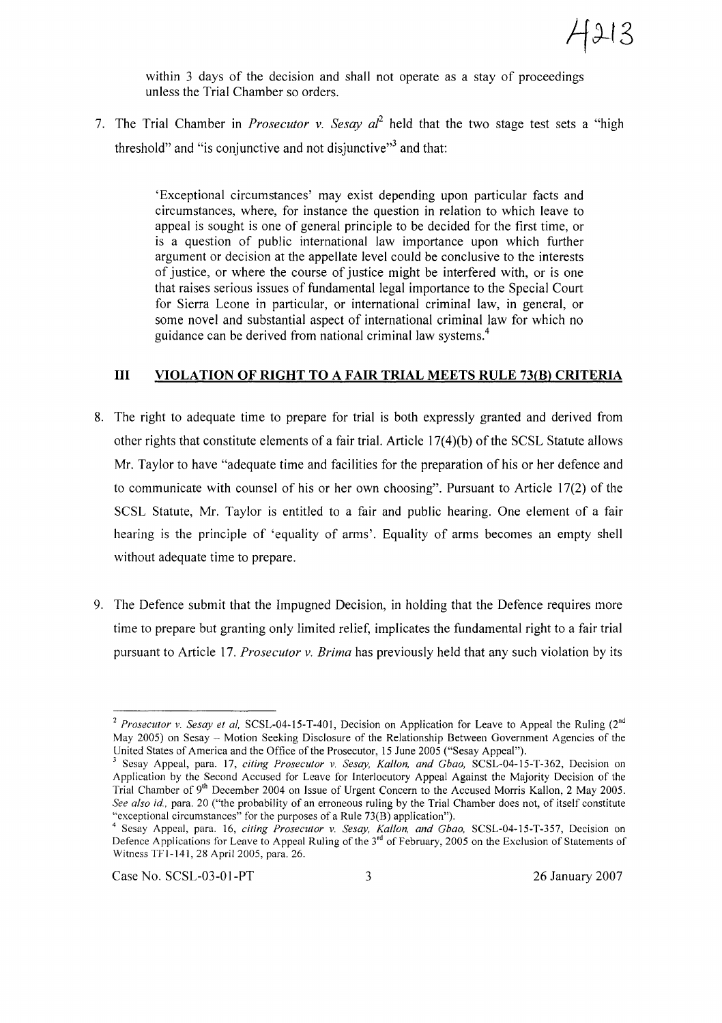

within 3 days of the decision and shall not operate as a stay of proceedings unless the Trial Chamber so orders.

7. The Trial Chamber in *Prosecutor* v. *Sesay al*<sup>2</sup> held that the two stage test sets a "high threshold" and "is conjunctive and not disjunctive"<sup>3</sup> and that:

> 'Exceptional circumstances' may exist depending upon particular facts and circumstances, where, for instance the question in relation to which leave to appeal is sought is one of general principle to be decided for the first time, or is a question of public international law importance upon which further argument or decision at the appellate level could be conclusive to the interests of justice, or where the course of justice might be interfered with, or is one that raises serious issues of fundamental legal importance to the Special Court for Sierra Leone in particular, or international criminal law, in general, or some novel and substantial aspect of international criminal law for which no guidance can be derived from national criminal law systems.<sup>4</sup>

# **III VIOLATION OF RIGHT TO A FAIR TRIAL MEETS RULE 73(B) CRITERIA**

- 8. The right to adequate time to prepare for trial is both expressly granted and derived from other rights that constitute elements of a fair trial. Article  $17(4)(b)$  of the SCSL Statute allows Mr. Taylor to have "adequate time and facilities for the preparation of his or her defence and to communicate with counsel of his or her own choosing". Pursuant to Article 17(2) of the SCSL Statute, Mr. Taylor is entitled to a fair and public hearing. One element of a fair hearing is the principle of 'equality of arms'. Equality of arms becomes an empty shell without adequate time to prepare.
- 9. The Defence submit that the Impugned Decision, in holding that the Defence requires more time to prepare but granting only limited relief, implicates the fundamental right to a fair trial pursuant to Article 17. *Prosecutor v. Brima* has previously held that any such violation by its

Case No. SCSL-03-01-PT 3 26 January 2007

<sup>&</sup>lt;sup>2</sup> *Prosecutor* v. *Sesay et al*, SCSL-04-15-T-401, Decision on Application for Leave to Appeal the Ruling (2<sup>nd</sup>) May 2005) on Sesay - Motion Seeking Disclosure of the Relationship Between Government Agencies of the United States of America and the Office of the Prosecutor, 15 June 2005 ("Sesay Appeal").

<sup>3</sup> Sesay Appeal, para. 17, *citing Prosecutor* v. *Sesay, Kallon, and Gbao,* SCSL-04-15-T-362, Decision on Application by the Second Accused for Leave for Interlocutory Appeal Against the Majority Decision of the Trial Chamber of 9<sup>th</sup> December 2004 on Issue of Urgent Concern to the Accused Morris Kallon, 2 May 2005. *See also id,* para. 20 ("the probability of an erroneous ruling by the Trial Chamber does not, of itself constitute "exceptional circumstances" for the purposes of a Rule 73(B) application").

<sup>4</sup> Sesay Appeal, para. 16, *citing Prosecutor* v. *Sesay, Kallon, and Gbao,* SCSL-04-15-T-357, Decision on Defence Applications for Leave to Appeal Ruling of the 3<sup>rd</sup> of February, 2005 on the Exclusion of Statements of Witness TFI-141, 28 April 2005, para. 26.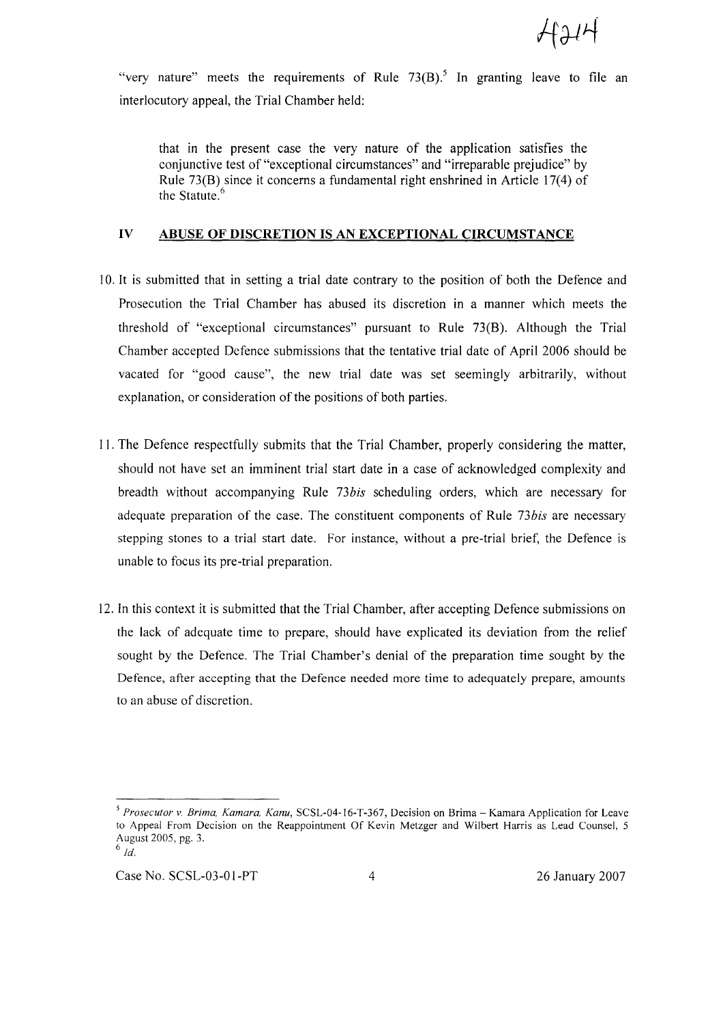"very nature" meets the requirements of Rule  $73(B)$ .<sup>5</sup> In granting leave to file an interlocutory appeal, the Trial Chamber held:

that in the present case the very nature of the application satisfies the conjunctive test of "exceptional circumstances" and "irreparable prejudice" by Rule 73(B) since it concerns a fundamental right enshrined in Article 17(4) of the Statute.<sup>6</sup>

#### IV ABUSE OF DISCRETION IS AN EXCEPTIONAL CIRCUMSTANCE

- 10. It is submitted that in setting a trial date contrary to the position of both the Defence and Prosecution the Trial Chamber has abused its discretion in a manner which meets the threshold of "exceptional circumstances" pursuant to Rule 73(B). Although the Trial Chamber accepted Defence submissions that the tentative trial date of April 2006 should be vacated for "good cause", the new trial date was set seemingly arbitrarily, without explanation, or consideration of the positions of both parties.
- 11. The Defence respectfully submits that the Trial Chamber, properly considering the matter, should not have set an imminent trial start date in a case of acknowledged complexity and breadth without accompanying Rule *73bis* scheduling orders, which are necessary for adequate preparation of the case. The constituent components of Rule *73bis* are necessary stepping stones to a trial start date. For instance, without a pre-trial brief, the Defence is unable to focus its pre-trial preparation.
- 12. In this context it is submitted that the Trial Chamber, after accepting Defence submissions on the lack of adequate time to prepare, should have explicated its deviation from the relief sought by the Defence. The Trial Chamber's denial of the preparation time sought by the Defence, after accepting that the Defence needed more time to adequately prepare, amounts to an abuse of discretion.

Case No. SCSL-03-01-PT 4 26 January 2007

*<sup>5</sup> Prosecutor v. Brima, Kamara, Kanu,* SCSL-04-16-T-367, Decision on Brima - Kamara Application for Leave to Appeal From Decision on the Reappointment Of Kevin Metzger and Wilbert Harris as Lead Counsel, 5 August 2005, pg. 3.  $6$   $Id.$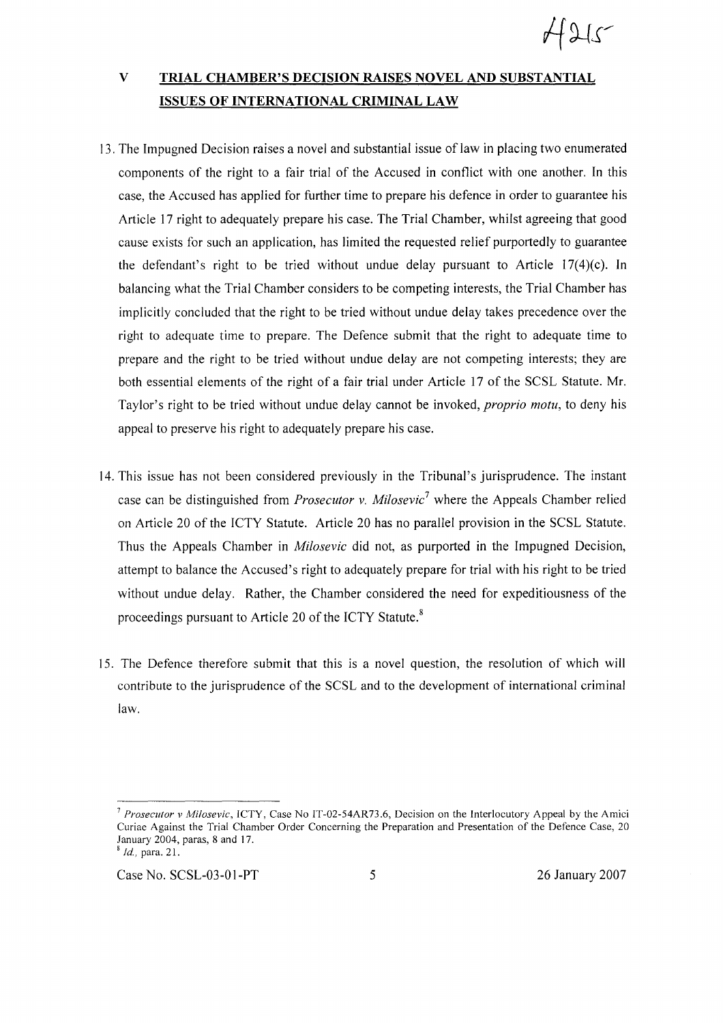# V **TRIAL CHAMBER'S DECISION RAISES NOVEL AND SUBSTANTIAL ISSUES OF INTERNATIONAL CRIMINAL LAW**

- 13. The Impugned Decision raises a novel and substantial issue of law in placing two enumerated components of the right to a fair trial of the Accused in conflict with one another. In this case, the Accused has applied for further time to prepare his defence in order to guarantee his Article 17 right to adequately prepare his case. The Trial Chamber, whilst agreeing that good cause exists for such an application, has limited the requested relief purportedly to guarantee the defendant's right to be tried without undue delay pursuant to Article 17(4)(c). In balancing what the Trial Chamber considers to be competing interests, the Trial Chamber has implicitly concluded that the right to be tried without undue delay takes precedence over the right to adequate time to prepare. The Defence submit that the right to adequate time to prepare and the right to be tried without undue delay are not competing interests; they are both essential elements of the right of a fair trial under Article 17 of the SCSL Statute. Mr. Taylor's right to be tried without undue delay cannot be invoked, *proprio motu,* to deny his appeal to preserve his right to adequately prepare his case.
- 14. This issue has not been considered previously in the Tribunal's jurisprudence. The instant case can be distinguished from *Prosecutor* v. *Milosevic<sup>7</sup>* where the Appeals Chamber relied on Article 20 of the ICTY Statute. Article 20 has no parallel provision in the SCSL Statute. Thus the Appeals Chamber in *Milosevic* did not, as purported in the Impugned Decision, attempt to balance the Accused's right to adequately prepare for trial with his right to be tried without undue delay. Rather, the Chamber considered the need for expeditiousness of the proceedings pursuant to Article 20 of the ICTY Statute. $s$
- 15. The Defence therefore submit that this is a novel question, the resolution of which will contribute to the jurisprudence of the SCSL and to the development of international criminal law.

*<sup>7</sup> Prosecutor* v *Milosevic,* ICTY, Case No IT-02-54AR73.6, Decision on the Interlocutory Appeal by the Amici Curiae Against the Trial Chamber Order Concerning the Preparation and Presentation of the Defence Case, 20 January 2004, paras, 8 and 17. <sup>8</sup> *Id.,* para. 21.

Case No. SCSL-03-01-PT 5 26 January 2007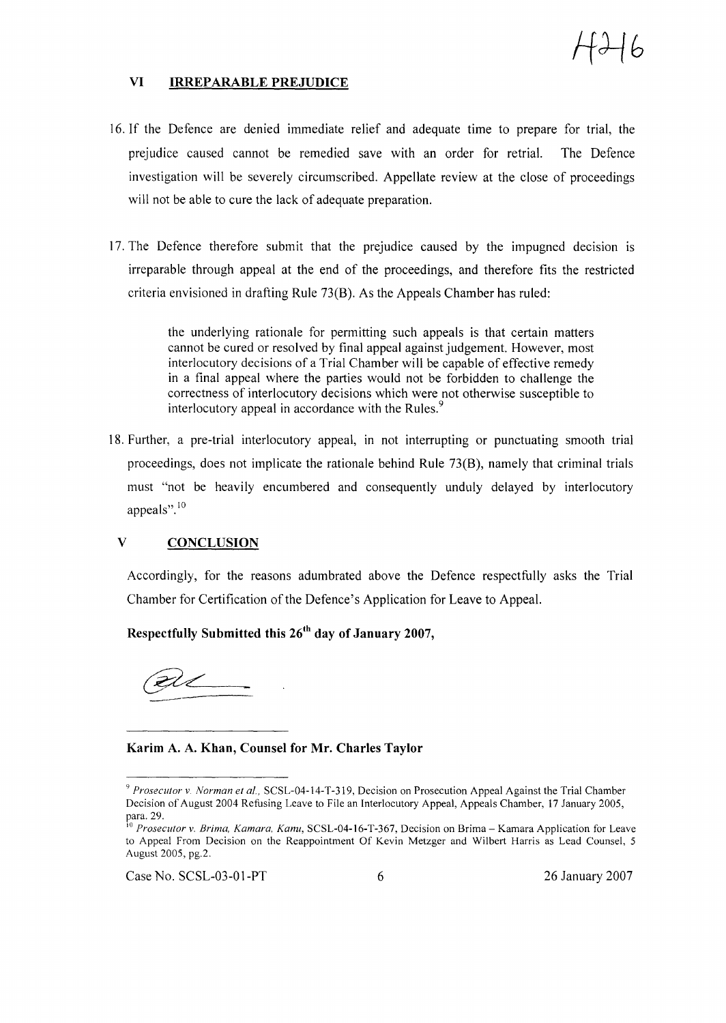

#### VI IRREPARABLE PREJUDICE

- 16. If the Defence are denied immediate relief and adequate time to prepare for trial, the prejudice caused cannot be remedied save with an order for retrial. The Defence investigation will be severely circumscribed. Appellate review at the close of proceedings will not be able to cure the lack of adequate preparation.
- 17. The Defence therefore submit that the prejudice caused by the impugned decision is irreparable through appeal at the end of the proceedings, and therefore fits the restricted criteria envisioned in drafting Rule 73(B). As the Appeals Chamber has ruled:

the underlying rationale for permitting such appeals is that certain matters cannot be cured or resolved by final appeal against judgement. However, most interlocutory decisions of a Trial Chamber will be capable of effective remedy in a final appeal where the parties would not be forbidden to challenge the correctness of interlocutory decisions which were not otherwise susceptible to interlocutory appeal in accordance with the Rules.<sup>9</sup>

18. Further, a pre-trial interlocutory appeal, in not interrupting or punctuating smooth trial proceedings, does not implicate the rationale behind Rule 73(B), namely that criminal trials must "not be heavily encumbered and consequently unduly delayed by interlocutory appeals".<sup>10</sup>

### V CONCLUSION

Accordingly, for the reasons adumbrated above the Defence respectfully asks the Trial Chamber for Certification of the Defence's Application for Leave to Appeal.

Respectfully Submitted this  $26<sup>th</sup>$  day of January 2007,

<u> ZU</u>

Karim A. A. Khan, Counsel for Mr. Charles Taylor

Case No. SCSL-03-01-PT 6 26 January 2007

<sup>&</sup>lt;sup>9</sup> *Prosecutor* v. *Norman et al.*, SCSL-04-14-T-319, Decision on Prosecution Appeal Against the Trial Chamber Decision of August 2004 Refusing Leave to File an Interlocutory Appeal, Appeals Chamber, 17 January 2005, para. 29.

<sup>10</sup> *Prosecutor* v. *Brima, Kamara, Kanu,* SCSL-04-16-T-367, Decision on Brima - Kamara Application for Leave to Appeal From Decision on the Reappointment Of Kevin Metzger and Wilbert Harris as Lead Counsel, 5 August 2005, pg.2.